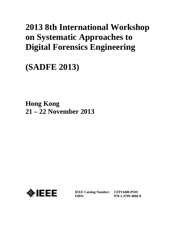# **2013 8th International Workshop on Systematic Approaches to Digital Forensics Engineering**

**(SADFE 2013)**

**Hong Kong 21 – 22 November 2013**



**IEEE Catalog Number: CFP13400-POD ISBN:** 

**978-1-4799-4060-8**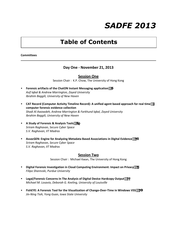## *SADFE 2013*

### **Table of Contents**

#### **Committees**

#### **Day One - November 21, 2013**

#### **Session One**

Session Chair : K.P. Chow, The University of Hong Kong

- **•** Forensic artifacts of the ChatON Instant Messaging application  $\dddot{\mathbf{x}}$ *Asif Iqbal & Andrew Marrington, Zayed University Ibrahim Baggili, University of New Haven*
- **•** CAT Record (Computer Activity Timeline Record): A unified agent based approach for real time **The computer forensic evidence collection**  *Shadi Al Awawdeh, Andrew Marrington & Farkhund Iqbal, Zayed University Ibrahim Baggili, University of New Haven*
- **•** A Study of Forensic & Analysis Tools<sup>*i*n</sup> *Sriram Raghavan, Secure Cyber Space S.V. Raghavan, IIT Madras*
- **•** AssocGEN: Engine for Analyzing Metadata Based Associations in Digital Evidence<sup>*(\*\**)</sup> *Sriram Raghavan, Secure Cyber Space S.V. Raghavan, IIT Madras*

#### **Session Two**

Session Chair : Michael Kwan, The University of Hong Kong

- **Digital Forensic Investigation in Cloud Computing Environment: Impact on Privacy**<sup>111</sup> *Filipo Sharevski, Purdue University*
- **•** Legal/Forensic Concerns In The Analysis of Digital Device Hardcopy Output<sup>111</sup> *Michael M. Losavio, Deborah G. Keeling, University of Louisville*
- **•** FishEYE: A Forensic Tool for the Visualization of Change-Over-Time in Windows VSS<sup>\*\*\*</sup> *Jin-Ning Tioh, Yong Guan, Iowa State University*